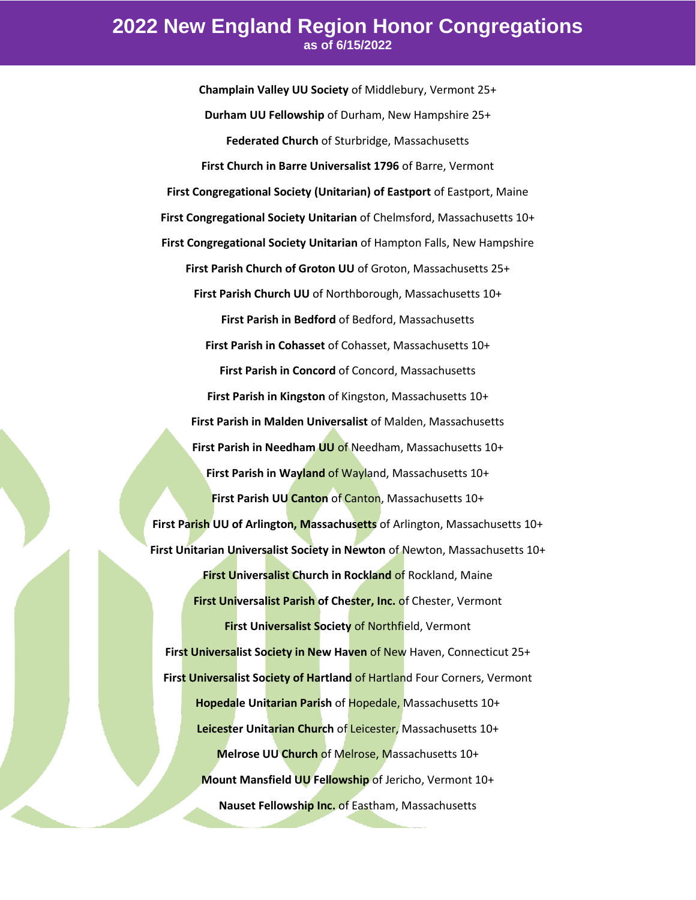## **2022 New England Region Honor Congregations as of 6/15/2022**

**Champlain Valley UU Society** of Middlebury, Vermont 25+ **Durham UU Fellowship** of Durham, New Hampshire 25+ **Federated Church** of Sturbridge, Massachusetts **First Church in Barre Universalist 1796** of Barre, Vermont **First Congregational Society (Unitarian) of Eastport** of Eastport, Maine **First Congregational Society Unitarian** of Chelmsford, Massachusetts 10+ **First Congregational Society Unitarian** of Hampton Falls, New Hampshire **First Parish Church of Groton UU** of Groton, Massachusetts 25+ **First Parish Church UU** of Northborough, Massachusetts 10+ **First Parish in Bedford** of Bedford, Massachusetts **First Parish in Cohasset** of Cohasset, Massachusetts 10+ **First Parish in Concord** of Concord, Massachusetts **First Parish in Kingston** of Kingston, Massachusetts 10+ **First Parish in Malden Universalist** of Malden, Massachusetts **First Parish in Needham UU** of Needham, Massachusetts 10+ **First Parish in Wayland** of Wayland, Massachusetts 10+ **First Parish UU Canton** of Canton, Massachusetts 10+ **First Parish UU of Arlington, Massachusetts** of Arlington, Massachusetts 10+ **First Unitarian Universalist Society in Newton** of Newton, Massachusetts 10+ **First Universalist Church in Rockland** of Rockland, Maine **First Universalist Parish of Chester, Inc. of Chester, Vermont First Universalist Society** of Northfield, Vermont **First Universalist Society in New Haven** of New Haven, Connecticut 25+ **First Universalist Society of Hartland of Hartland Four Corners, Vermont Hopedale Unitarian Parish** of Hopedale, Massachusetts 10+ **Leicester Unitarian Church** of Leicester, Massachusetts 10+ **Melrose UU Church** of Melrose, Massachusetts 10+ **Mount Mansfield UU Fellowship** of Jericho, Vermont 10+ **Nauset Fellowship Inc.** of Eastham, Massachusetts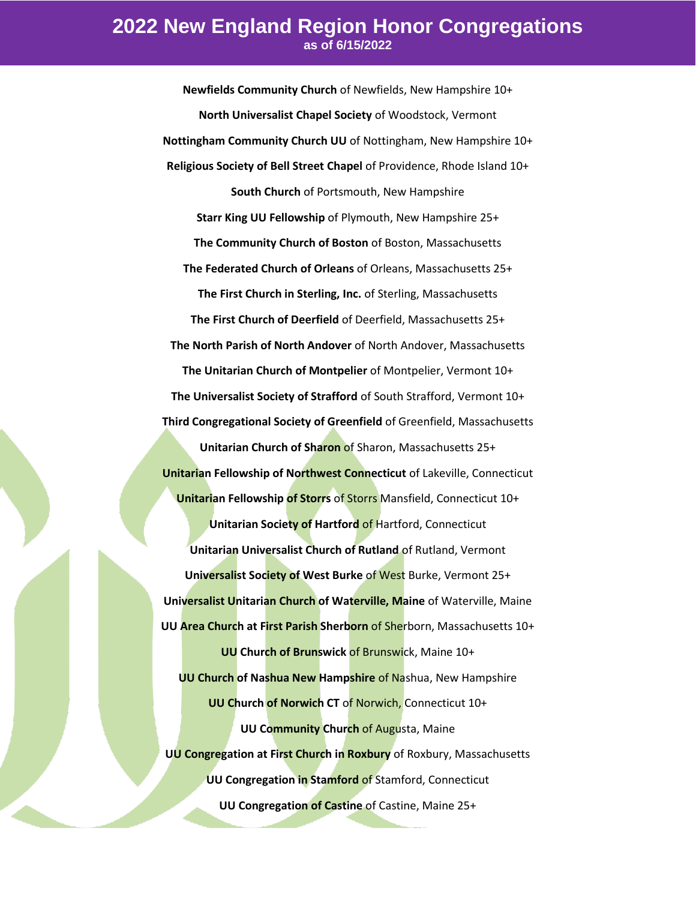## **2022 New England Region Honor Congregations as of 6/15/2022**

**Newfields Community Church** of Newfields, New Hampshire 10+ **North Universalist Chapel Society** of Woodstock, Vermont **Nottingham Community Church UU** of Nottingham, New Hampshire 10+ **Religious Society of Bell Street Chapel** of Providence, Rhode Island 10+ **South Church** of Portsmouth, New Hampshire **Starr King UU Fellowship** of Plymouth, New Hampshire 25+ **The Community Church of Boston** of Boston, Massachusetts **The Federated Church of Orleans** of Orleans, Massachusetts 25+ **The First Church in Sterling, Inc.** of Sterling, Massachusetts **The First Church of Deerfield** of Deerfield, Massachusetts 25+ **The North Parish of North Andover** of North Andover, Massachusetts **The Unitarian Church of Montpelier** of Montpelier, Vermont 10+ **The Universalist Society of Strafford** of South Strafford, Vermont 10+ **Third Congregational Society of Greenfield** of Greenfield, Massachusetts **Unitarian Church of Sharon** of Sharon, Massachusetts 25+ **Unitarian Fellowship of Northwest Connecticut** of Lakeville, Connecticut **Unitarian Fellowship of Storrs** of Storrs Mansfield, Connecticut 10+ **Unitarian Society of Hartford** of Hartford, Connecticut **Unitarian Universalist Church of Rutland** of Rutland, Vermont **Universalist Society of West Burke** of West Burke, Vermont 25+ **Universalist Unitarian Church of Waterville, Maine** of Waterville, Maine **UU Area Church at First Parish Sherborn** of Sherborn, Massachusetts 10+ **UU Church of Brunswick** of Brunswick, Maine 10+ **UU Church of Nashua New Hampshire** of Nashua, New Hampshire **UU Church of Norwich CT** of Norwich, Connecticut 10+ **UU Community Church** of Augusta, Maine **UU Congregation at First Church in Roxbury** of Roxbury, Massachusetts **UU Congregation in Stamford** of Stamford, Connecticut **UU Congregation of Castine** of Castine, Maine 25+